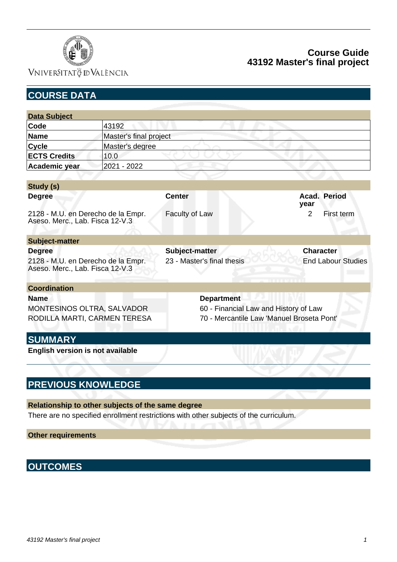

# Vniver§itatğ dValència

## **Course Guide 43192 Master's final project**

| <b>COURSE DATA</b>                                                    |                                                 |                              |
|-----------------------------------------------------------------------|-------------------------------------------------|------------------------------|
|                                                                       |                                                 |                              |
|                                                                       |                                                 |                              |
|                                                                       |                                                 |                              |
|                                                                       |                                                 |                              |
|                                                                       |                                                 |                              |
|                                                                       |                                                 |                              |
|                                                                       |                                                 |                              |
|                                                                       |                                                 |                              |
|                                                                       | <b>Center</b>                                   | Acad. Period<br>vear         |
| 2128 - M.U. en Derecho de la Empr.<br>Aseso. Merc., Lab. Fisca 12-V.3 | Faculty of Law                                  | $\overline{2}$<br>First term |
|                                                                       |                                                 |                              |
|                                                                       | Subject-matter                                  | <b>Character</b>             |
| 2128 - M.U. en Derecho de la Empr.<br>Aseso. Merc., Lab. Fisca 12-V.3 | 23 - Master's final thesis                      | <b>End Labour Studies</b>    |
|                                                                       |                                                 |                              |
|                                                                       | <b>Department</b>                               |                              |
| MONTESINOS OLTRA, SALVADOR                                            | 60 - Financial Law and History of Law           |                              |
| RODILLA MARTI, CARMEN TERESA                                          | 70 - Mercantile Law 'Manuel Broseta Pont'       |                              |
|                                                                       |                                                 |                              |
| English version is not available                                      |                                                 |                              |
|                                                                       | 43192<br>Master's degree<br>10.0<br>2021 - 2022 | Master's final project       |

## **PREVIOUS KNOWLEDGE**

**Relationship to other subjects of the same degree** There are no specified enrollment restrictions with other subjects of the curriculum.

**Other requirements**

# **OUTCOMES**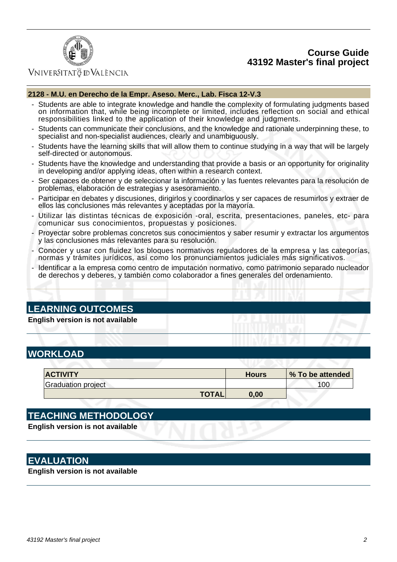### **Course Guide 43192 Master's final project**



### VNIVERSITATÖ IDVALÈNCIA

#### **2128 - M.U. en Derecho de la Empr. Aseso. Merc., Lab. Fisca 12-V.3**

- Students are able to integrate knowledge and handle the complexity of formulating judgments based on information that, while being incomplete or limited, includes reflection on social and ethical responsibilities linked to the application of their knowledge and judgments.
- Students can communicate their conclusions, and the knowledge and rationale underpinning these, to specialist and non-specialist audiences, clearly and unambiguously.
- Students have the learning skills that will allow them to continue studying in a way that will be largely self-directed or autonomous.
- Students have the knowledge and understanding that provide a basis or an opportunity for originality in developing and/or applying ideas, often within a research context.
- Ser capaces de obtener y de seleccionar la información y las fuentes relevantes para la resolución de problemas, elaboración de estrategias y asesoramiento.
- Participar en debates y discusiones, dirigirlos y coordinarlos y ser capaces de resumirlos y extraer de ellos las conclusiones más relevantes y aceptadas por la mayoría.
- Utilizar las distintas técnicas de exposición -oral, escrita, presentaciones, paneles, etc- para comunicar sus conocimientos, propuestas y posiciones.
- Proyectar sobre problemas concretos sus conocimientos y saber resumir y extractar los argumentos y las conclusiones más relevantes para su resolución.
- Conocer y usar con fluidez los bloques normativos reguladores de la empresa y las categorías, normas y trámites jurídicos, así como los pronunciamientos judiciales más significativos.
- Identificar a la empresa como centro de imputación normativo, como patrimonio separado nucleador de derechos y deberes, y también como colaborador a fines generales del ordenamiento.

### **LEARNING OUTCOMES**

**English version is not available**

## **WORKLOAD**

| <b>ACTIVITY</b>    | <b>Hours</b> | % To be attended |
|--------------------|--------------|------------------|
| Graduation project |              | 100              |
| <b>TOTAL,</b>      | 0.00         |                  |

## **TEACHING METHODOLOGY**

**English version is not available**

### **EVALUATION**

**English version is not available**